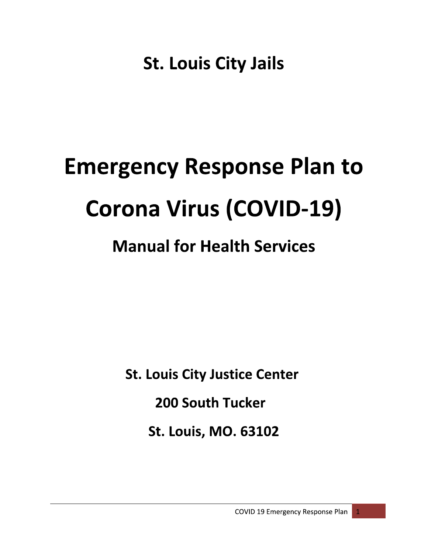**St. Louis City Jails** 

# **Emergency Response Plan to Corona Virus (COVID-19)**

# **Manual for Health Services**

**St. Louis City Justice Center** 

**200 South Tucker** 

**St. Louis, MO. 63102**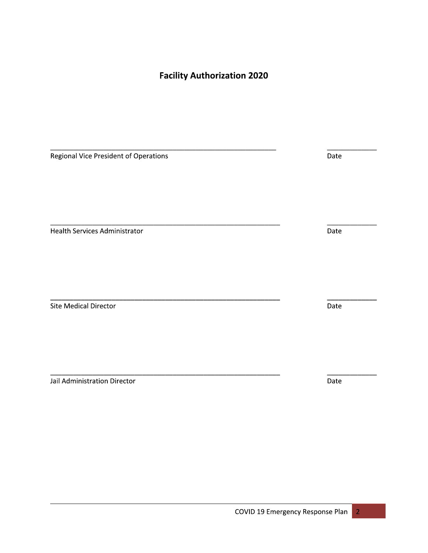**Facility Authorization 2020** 

Regional Vice President of Operations

**Health Services Administrator** 

Site Medical Director

Jail Administration Director

Date Date

Date

Date

 $\overline{2}$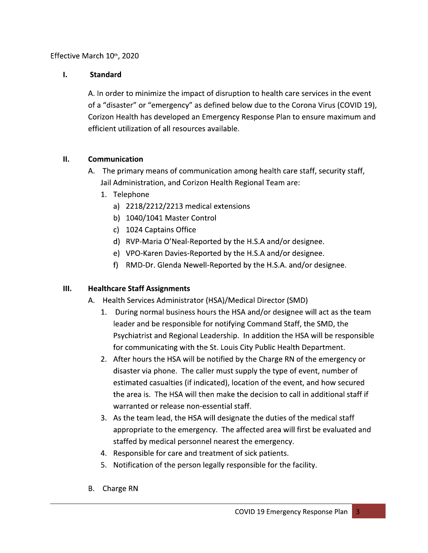### Effective March 10th, 2020

#### Ī. **Standard**

A. In order to minimize the impact of disruption to health care services in the event of a "disaster" or "emergency" as defined below due to the Corona Virus (COVID 19), Corizon Health has developed an Emergency Response Plan to ensure maximum and efficient utilization of all resources available.

#### $II.$ Communication

- A. The primary means of communication among health care staff, security staff, Jail Administration, and Corizon Health Regional Team are:
	- 1. Telephone
		- a) 2218/2212/2213 medical extensions
		- b) 1040/1041 Master Control
		- c) 1024 Captains Office
		- d) RVP-Maria O'Neal-Reported by the H.S.A and/or designee.
		- e) VPO-Karen Davies-Reported by the H.S.A and/or designee.
		- f) RMD-Dr. Glenda Newell-Reported by the H.S.A. and/or designee.

#### $III.$ **Healthcare Staff Assignments**

- A. Health Services Administrator (HSA)/Medical Director (SMD)
	- 1. During normal business hours the HSA and/or designee will act as the team leader and be responsible for notifying Command Staff, the SMD, the Psychiatrist and Regional Leadership. In addition the HSA will be responsible for communicating with the St. Louis City Public Health Department.
	- 2. After hours the HSA will be notified by the Charge RN of the emergency or disaster via phone. The caller must supply the type of event, number of estimated casualties (if indicated), location of the event, and how secured the area is. The HSA will then make the decision to call in additional staff if warranted or release non-essential staff.
	- 3. As the team lead, the HSA will designate the duties of the medical staff appropriate to the emergency. The affected area will first be evaluated and staffed by medical personnel nearest the emergency.
	- 4. Responsible for care and treatment of sick patients.
	- 5. Notification of the person legally responsible for the facility.
- B. Charge RN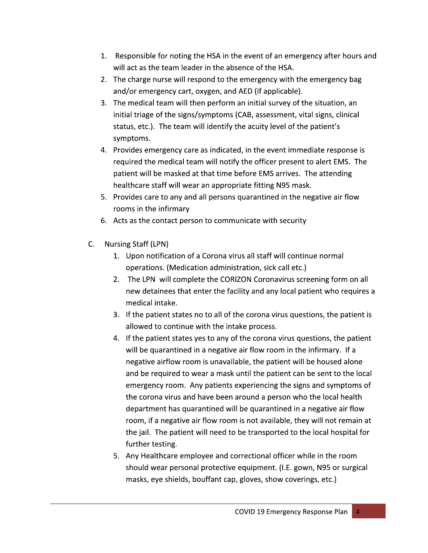- 1. Responsible for noting the HSA in the event of an emergency after hours and will act as the team leader in the absence of the HSA.
- 2. The charge nurse will respond to the emergency with the emergency bag and/or emergency cart, oxygen, and AED (if applicable).
- 3. The medical team will then perform an initial survey of the situation, an initial triage of the signs/symptoms (CAB, assessment, vital signs, clinical status, etc.). The team will identify the acuity level of the patient's symptoms.
- 4. Provides emergency care as indicated, in the event immediate response is required the medical team will notify the officer present to alert EMS. The patient will be masked at that time before EMS arrives. The attending healthcare staff will wear an appropriate fitting N95 mask.
- 5. Provides care to any and all persons quarantined in the negative air flow rooms in the infirmary
- 6. Acts as the contact person to communicate with security
- Nursing Staff (LPN)  $C_{\cdot}$ 
	- 1. Upon notification of a Corona virus all staff will continue normal operations. (Medication administration, sick call etc.)
	- 2. The LPN will complete the CORIZON Coronavirus screening form on all new detainees that enter the facility and any local patient who requires a medical intake.
	- 3. If the patient states no to all of the corona virus questions, the patient is allowed to continue with the intake process.
	- 4. If the patient states yes to any of the corona virus questions, the patient will be quarantined in a negative air flow room in the infirmary. If a negative airflow room is unavailable, the patient will be housed alone and be required to wear a mask until the patient can be sent to the local emergency room. Any patients experiencing the signs and symptoms of the corona virus and have been around a person who the local health department has quarantined will be quarantined in a negative air flow room, if a negative air flow room is not available, they will not remain at the jail. The patient will need to be transported to the local hospital for further testing.
	- 5. Any Healthcare employee and correctional officer while in the room should wear personal protective equipment. (I.E. gown, N95 or surgical masks, eye shields, bouffant cap, gloves, show coverings, etc.)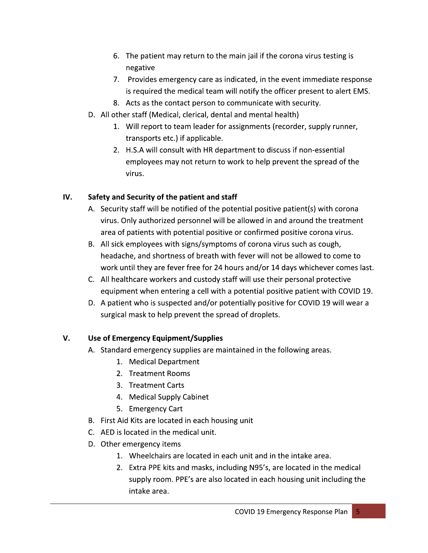- 6. The patient may return to the main jail if the corona virus testing is negative
- 7. Provides emergency care as indicated, in the event immediate response is required the medical team will notify the officer present to alert EMS.
- 8. Acts as the contact person to communicate with security.
- D. All other staff (Medical, clerical, dental and mental health)
	- 1. Will report to team leader for assignments (recorder, supply runner, transports etc.) if applicable.
	- 2. H.S.A will consult with HR department to discuss if non-essential employees may not return to work to help prevent the spread of the virus.

#### IV. Safety and Security of the patient and staff

- A. Security staff will be notified of the potential positive patient(s) with corona virus. Only authorized personnel will be allowed in and around the treatment area of patients with potential positive or confirmed positive corona virus.
- B. All sick employees with signs/symptoms of corona virus such as cough, headache, and shortness of breath with fever will not be allowed to come to work until they are fever free for 24 hours and/or 14 days whichever comes last.
- C. All healthcare workers and custody staff will use their personal protective equipment when entering a cell with a potential positive patient with COVID 19.
- D. A patient who is suspected and/or potentially positive for COVID 19 will wear a surgical mask to help prevent the spread of droplets.

#### V. Use of Emergency Equipment/Supplies

- A. Standard emergency supplies are maintained in the following areas.
	- 1. Medical Department
	- 2. Treatment Rooms
	- 3. Treatment Carts
	- 4. Medical Supply Cabinet
	- 5. Emergency Cart
- B. First Aid Kits are located in each housing unit
- C. AED is located in the medical unit.
- D. Other emergency items
	- 1. Wheelchairs are located in each unit and in the intake area.
	- 2. Extra PPE kits and masks, including N95's, are located in the medical supply room. PPE's are also located in each housing unit including the intake area.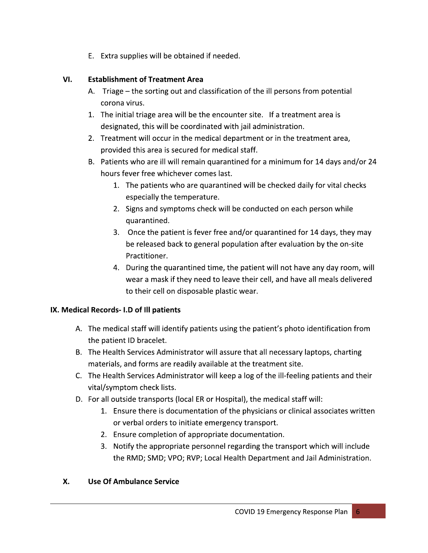E. Extra supplies will be obtained if needed.

#### VI. **Establishment of Treatment Area**

- A. Triage the sorting out and classification of the ill persons from potential corona virus.
- 1. The initial triage area will be the encounter site. If a treatment area is designated, this will be coordinated with jail administration.
- 2. Treatment will occur in the medical department or in the treatment area, provided this area is secured for medical staff.
- B. Patients who are ill will remain quarantined for a minimum for 14 days and/or 24 hours fever free whichever comes last.
	- 1. The patients who are quarantined will be checked daily for vital checks especially the temperature.
	- 2. Signs and symptoms check will be conducted on each person while quarantined.
	- 3. Once the patient is fever free and/or quarantined for 14 days, they may be released back to general population after evaluation by the on-site Practitioner.
	- 4. During the quarantined time, the patient will not have any day room, will wear a mask if they need to leave their cell, and have all meals delivered to their cell on disposable plastic wear.

## IX. Medical Records- I.D of Ill patients

- A. The medical staff will identify patients using the patient's photo identification from the patient ID bracelet.
- B. The Health Services Administrator will assure that all necessary laptops, charting materials, and forms are readily available at the treatment site.
- C. The Health Services Administrator will keep a log of the ill-feeling patients and their vital/symptom check lists.
- D. For all outside transports (local ER or Hospital), the medical staff will:
	- 1. Ensure there is documentation of the physicians or clinical associates written or verbal orders to initiate emergency transport.
	- 2. Ensure completion of appropriate documentation.
	- 3. Notify the appropriate personnel regarding the transport which will include the RMD; SMD; VPO; RVP; Local Health Department and Jail Administration.

#### **X. Use Of Ambulance Service**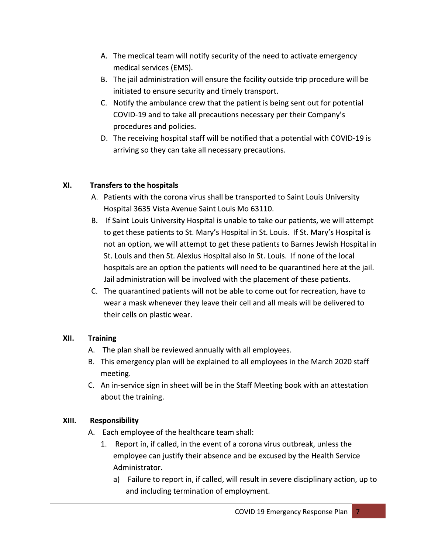- A. The medical team will notify security of the need to activate emergency medical services (EMS).
- B. The jail administration will ensure the facility outside trip procedure will be initiated to ensure security and timely transport.
- C. Notify the ambulance crew that the patient is being sent out for potential COVID-19 and to take all precautions necessary per their Company's procedures and policies.
- D. The receiving hospital staff will be notified that a potential with COVID-19 is arriving so they can take all necessary precautions.

#### XI. **Transfers to the hospitals**

- A. Patients with the corona virus shall be transported to Saint Louis University Hospital 3635 Vista Avenue Saint Louis Mo 63110.
- B. If Saint Louis University Hospital is unable to take our patients, we will attempt to get these patients to St. Mary's Hospital in St. Louis. If St. Mary's Hospital is not an option, we will attempt to get these patients to Barnes Jewish Hospital in St. Louis and then St. Alexius Hospital also in St. Louis. If none of the local hospitals are an option the patients will need to be quarantined here at the jail. Jail administration will be involved with the placement of these patients.
- C. The quarantined patients will not be able to come out for recreation, have to wear a mask whenever they leave their cell and all meals will be delivered to their cells on plastic wear.

#### XII. **Training**

- A. The plan shall be reviewed annually with all employees.
- B. This emergency plan will be explained to all employees in the March 2020 staff meeting.
- C. An in-service sign in sheet will be in the Staff Meeting book with an attestation about the training.

#### XIII. **Responsibility**

- A. Each employee of the healthcare team shall:
	- 1. Report in, if called, in the event of a corona virus outbreak, unless the employee can justify their absence and be excused by the Health Service Administrator.
		- a) Failure to report in, if called, will result in severe disciplinary action, up to and including termination of employment.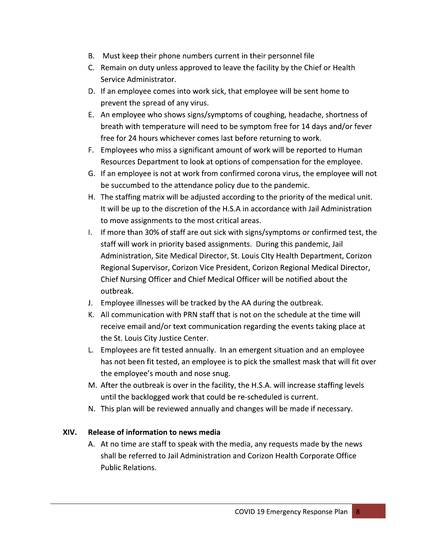- B. Must keep their phone numbers current in their personnel file
- C. Remain on duty unless approved to leave the facility by the Chief or Health Service Administrator.
- D. If an employee comes into work sick, that employee will be sent home to prevent the spread of any virus.
- E. An employee who shows signs/symptoms of coughing, headache, shortness of breath with temperature will need to be symptom free for 14 days and/or fever free for 24 hours whichever comes last before returning to work.
- F. Employees who miss a significant amount of work will be reported to Human Resources Department to look at options of compensation for the employee.
- G. If an employee is not at work from confirmed corona virus, the employee will not be succumbed to the attendance policy due to the pandemic.
- H. The staffing matrix will be adjusted according to the priority of the medical unit. It will be up to the discretion of the H.S.A in accordance with Jail Administration to move assignments to the most critical areas.
- I. If more than 30% of staff are out sick with signs/symptoms or confirmed test, the staff will work in priority based assignments. During this pandemic, Jail Administration, Site Medical Director, St. Louis City Health Department, Corizon Regional Supervisor, Corizon Vice President, Corizon Regional Medical Director, Chief Nursing Officer and Chief Medical Officer will be notified about the outbreak.
- J. Employee illnesses will be tracked by the AA during the outbreak.
- K. All communication with PRN staff that is not on the schedule at the time will receive email and/or text communication regarding the events taking place at the St. Louis City Justice Center.
- L. Employees are fit tested annually. In an emergent situation and an employee has not been fit tested, an employee is to pick the smallest mask that will fit over the employee's mouth and nose snug.
- M. After the outbreak is over in the facility, the H.S.A. will increase staffing levels until the backlogged work that could be re-scheduled is current.
- N. This plan will be reviewed annually and changes will be made if necessary.

#### Release of information to news media XIV.

A. At no time are staff to speak with the media, any requests made by the news shall be referred to Jail Administration and Corizon Health Corporate Office **Public Relations.**